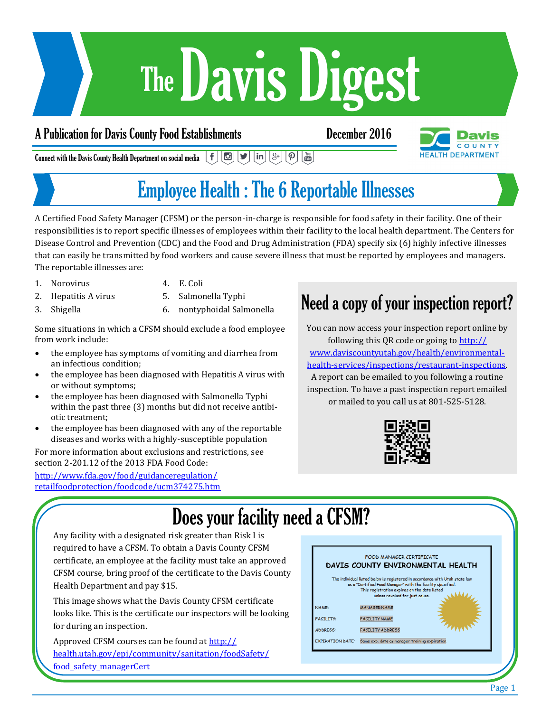# Davis Digest The

#### A Publication for Davis County Food Establishments December 2016



 $\lfloor$  in  $\rfloor$   $\lfloor$   $\frac{8}{7}\rfloor$  $\boxed{\mathbf{p}}$   $\boxed{\frac{\mathsf{You}}{\mathsf{Gou}}}$  $f||\mathbf{C}||\mathbf{y}|$ Connect with the Davis County Health Department on social media

## Employee Health : The 6 Reportable Illnesses

A Certified Food Safety Manager (CFSM) or the person-in-charge is responsible for food safety in their facility. One of their responsibilities is to report specific illnesses of employees within their facility to the local health department. The Centers for Disease Control and Prevention (CDC) and the Food and Drug Administration (FDA) specify six (6) highly infective illnesses that can easily be transmitted by food workers and cause severe illness that must be reported by employees and managers. The reportable illnesses are:

- 1. Norovirus
- 4. E. Coli
- 2. Hepatitis A virus
- 5. Salmonella Typhi
- 3. Shigella
- 6. nontyphoidal Salmonella

Some situations in which a CFSM should exclude a food employee from work include:

- the employee has symptoms of vomiting and diarrhea from an infectious condition;
- the employee has been diagnosed with Hepatitis A virus with or without symptoms;
- the employee has been diagnosed with Salmonella Typhi within the past three (3) months but did not receive antibiotic treatment;
- the employee has been diagnosed with any of the reportable diseases and works with a highly-susceptible population

For more information about exclusions and restrictions, see section 2-201.12 of the 2013 FDA Food Code:

[http://www.fda.gov/food/guidanceregulation/](http://www.fda.gov/food/guidanceregulation/retailfoodprotection/foodcode/ucm374275.htm) [retailfoodprotection/foodcode/ucm374275.htm](http://www.fda.gov/food/guidanceregulation/retailfoodprotection/foodcode/ucm374275.htm)

### Need a copy of your inspection report?

You can now access your inspection report online by following this QR code or going to [http://](http://www.daviscountyutah.gov/health/environmental-health-services/inspections/restaurant-inspections) [www.daviscountyutah.gov/health/environmental](http://www.daviscountyutah.gov/health/environmental-health-services/inspections/restaurant-inspections)[health-services/inspections/restaurant-inspections.](http://www.daviscountyutah.gov/health/environmental-health-services/inspections/restaurant-inspections) A report can be emailed to you following a routine inspection. To have a past inspection report emailed or mailed to you call us at 801-525-5128.



## Does your facility need a CFSM?

Any facility with a designated risk greater than Risk I is required to have a CFSM. To obtain a Davis County CFSM certificate, an employee at the facility must take an approved CFSM course, bring proof of the certificate to the Davis County Health Department and pay \$15.

This image shows what the Davis County CFSM certificate looks like. This is the certificate our inspectors will be looking for during an inspection.

Approved CFSM courses can be found at [http://](http://health.utah.gov/epi/community/sanitation/foodSafety/food_safety_managerCert) [health.utah.gov/epi/community/sanitation/foodSafety/](http://health.utah.gov/epi/community/sanitation/foodSafety/food_safety_managerCert) food safety managerCert

|                         | FOOD MANAGER CERTIFICATE<br>DAVIS COUNTY ENVIRONMENTAL HEALTH                                                                                |  |  |
|-------------------------|----------------------------------------------------------------------------------------------------------------------------------------------|--|--|
|                         | The individual listed below is registered in accordance with Utah state law                                                                  |  |  |
|                         | as a "Certified Food Manager" with the facility specified.<br>This registration expires on the date listed<br>unless revoked for just cause. |  |  |
| NAME:                   | <b>MANAGER NAME</b>                                                                                                                          |  |  |
| <b>FACILITY:</b>        | <b>FACILITY NAME</b>                                                                                                                         |  |  |
| <b>ADDRESS:</b>         | <b>FACILITY ADDRESS</b>                                                                                                                      |  |  |
| <b>EXPIRATION DATE:</b> | Same exp. date as manager training expiration                                                                                                |  |  |